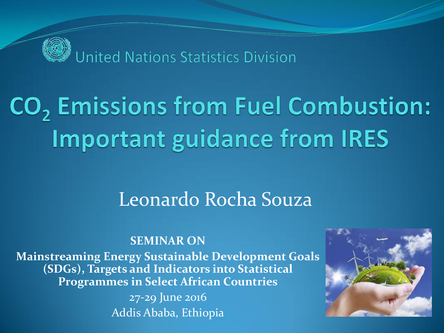

# CO<sub>2</sub> Emissions from Fuel Combustion: **Important guidance from IRES**

### Leonardo Rocha Souza

#### **SEMINAR ON**

**Mainstreaming Energy Sustainable Development Goals (SDGs), Targets and Indicators into Statistical Programmes in Select African Countries**

> 27-29 June 2016 Addis Ababa, Ethiopia

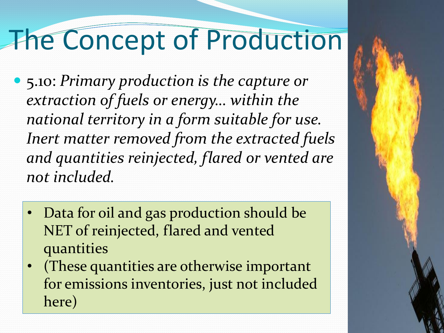# The Concept of Production

- 5.10: *Primary production is the capture or extraction of fuels or energy… within the national territory in a form suitable for use. Inert matter removed from the extracted fuels and quantities reinjected, flared or vented are not included.*
	- Data for oil and gas production should be NET of reinjected, flared and vented quantities
	- (These quantities are otherwise important for emissions inventories, just not included here)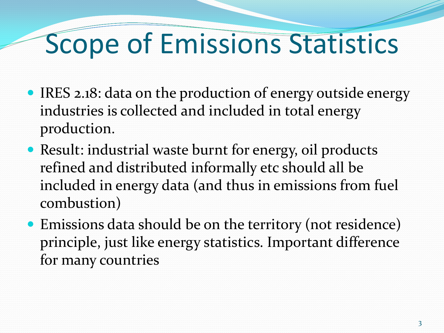# Scope of Emissions Statistics

- IRES 2.18: data on the production of energy outside energy industries is collected and included in total energy production.
- Result: industrial waste burnt for energy, oil products refined and distributed informally etc should all be included in energy data (and thus in emissions from fuel combustion)
- Emissions data should be on the territory (not residence) principle, just like energy statistics. Important difference for many countries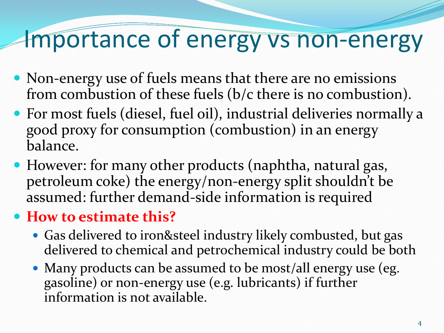## Importance of energy vs non-energy

- Non-energy use of fuels means that there are no emissions from combustion of these fuels (b/c there is no combustion).
- For most fuels (diesel, fuel oil), industrial deliveries normally a good proxy for consumption (combustion) in an energy balance.
- However: for many other products (naphtha, natural gas, petroleum coke) the energy/non-energy split shouldn't be assumed: further demand-side information is required

### **How to estimate this?**

- Gas delivered to iron&steel industry likely combusted, but gas delivered to chemical and petrochemical industry could be both
- Many products can be assumed to be most/all energy use (eg. gasoline) or non-energy use (e.g. lubricants) if further information is not available.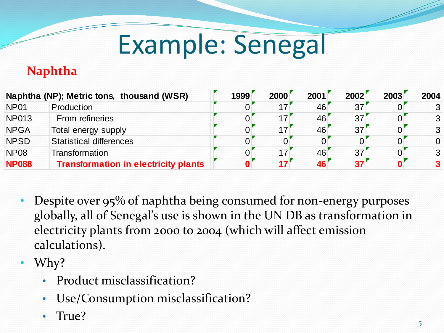# Example: Senegal

#### **Naphtha**

|                  | Naphtha (NP); Metric tons, thousand (WSR)   | 1999 | 2000 | 2001 | 2002 | 2003     | 2004 |
|------------------|---------------------------------------------|------|------|------|------|----------|------|
| NP <sub>01</sub> | Production                                  |      | 17   | 46   | 37   |          | 3    |
| <b>NP013</b>     | From refineries                             |      |      | 46   | 37'  |          |      |
| <b>NPGA</b>      | Total energy supply                         |      | 17   | 46   | 37   | $\Omega$ | 3    |
| <b>NPSD</b>      | <b>Statistical differences</b>              |      |      |      |      |          | 0    |
| <b>NP08</b>      | Transformation                              |      |      | 46   | 37   |          | 3    |
| <b>NP088</b>     | <b>Transformation in electricity plants</b> |      | 17   | 46   | 37   |          |      |

- Despite over 95% of naphtha being consumed for non-energy purposes globally, all of Senegal's use is shown in the UN DB as transformation in electricity plants from 2000 to 2004 (which will affect emission calculations).
- Why?
	- Product misclassification?
	- Use/Consumption misclassification?
	- True?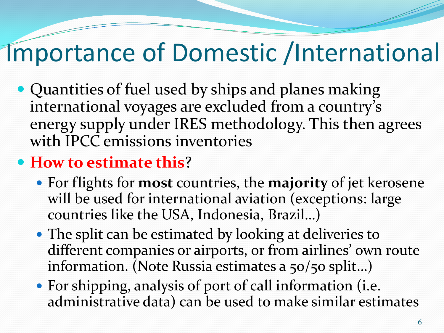## Importance of Domestic /International

• Quantities of fuel used by ships and planes making international voyages are excluded from a country's energy supply under IRES methodology. This then agrees with IPCC emissions inventories

### **How to estimate this**?

- For flights for **most** countries, the **majority** of jet kerosene will be used for international aviation (exceptions: large countries like the USA, Indonesia, Brazil…)
- The split can be estimated by looking at deliveries to different companies or airports, or from airlines' own route information. (Note Russia estimates a 50/50 split…)
- For shipping, analysis of port of call information (i.e. administrative data) can be used to make similar estimates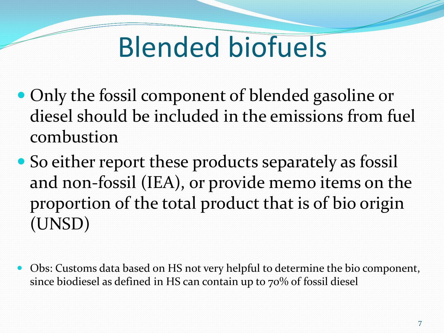# Blended biofuels

- Only the fossil component of blended gasoline or diesel should be included in the emissions from fuel combustion
- So either report these products separately as fossil and non-fossil (IEA), or provide memo items on the proportion of the total product that is of bio origin (UNSD)
- Obs: Customs data based on HS not very helpful to determine the bio component, since biodiesel as defined in HS can contain up to 70% of fossil diesel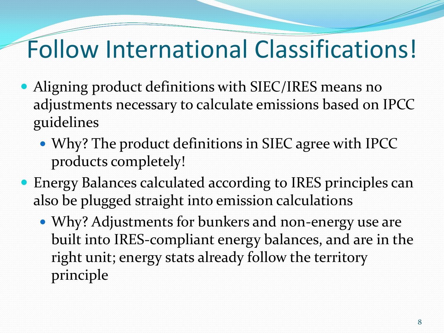### Follow International Classifications!

- Aligning product definitions with SIEC/IRES means no adjustments necessary to calculate emissions based on IPCC guidelines
	- Why? The product definitions in SIEC agree with IPCC products completely!
- Energy Balances calculated according to IRES principles can also be plugged straight into emission calculations
	- Why? Adjustments for bunkers and non-energy use are built into IRES-compliant energy balances, and are in the right unit; energy stats already follow the territory principle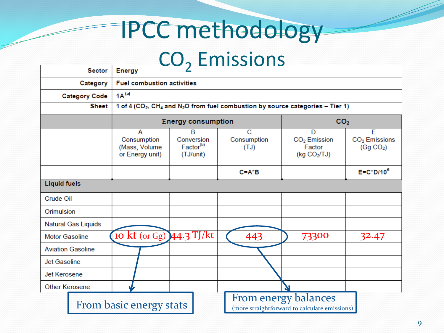## IPCC methodology

## CO<sub>2</sub> Emissions

|                          | sector                                        | Energy                                                                                                             |                                                       |                                                                       |                                                           |                                                         |  |  |  |  |
|--------------------------|-----------------------------------------------|--------------------------------------------------------------------------------------------------------------------|-------------------------------------------------------|-----------------------------------------------------------------------|-----------------------------------------------------------|---------------------------------------------------------|--|--|--|--|
|                          | <b>Fuel combustion activities</b><br>Category |                                                                                                                    |                                                       |                                                                       |                                                           |                                                         |  |  |  |  |
|                          | $1A^{(a)}$<br><b>Category Code</b>            |                                                                                                                    |                                                       |                                                                       |                                                           |                                                         |  |  |  |  |
|                          | <b>Sheet</b>                                  | 1 of 4 (CO <sub>2</sub> , CH <sub>4</sub> and N <sub>2</sub> O from fuel combustion by source categories - Tier 1) |                                                       |                                                                       |                                                           |                                                         |  |  |  |  |
|                          |                                               |                                                                                                                    | <b>Energy consumption</b>                             |                                                                       |                                                           | CO <sub>2</sub>                                         |  |  |  |  |
|                          |                                               | A<br>Consumption<br>(Mass, Volume<br>or Energy unit)                                                               | в<br>Conversion<br>Factor <sup>(b)</sup><br>(TJ/unit) | C<br>Consumption<br>(TJ)                                              | D<br>CO <sub>2</sub> Emission<br>Factor<br>(kg $CO2/TJ$ ) | E<br>CO <sub>2</sub> Emissions<br>(Gg CO <sub>2</sub> ) |  |  |  |  |
|                          |                                               |                                                                                                                    |                                                       | $C = A^*B$                                                            |                                                           | $E = C^*D/10^6$                                         |  |  |  |  |
| <b>Liquid fuels</b>      |                                               |                                                                                                                    |                                                       |                                                                       |                                                           |                                                         |  |  |  |  |
| Crude Oil                |                                               |                                                                                                                    |                                                       |                                                                       |                                                           |                                                         |  |  |  |  |
| Orimulsion               |                                               |                                                                                                                    |                                                       |                                                                       |                                                           |                                                         |  |  |  |  |
| Natural Gas Liquids      |                                               |                                                                                                                    |                                                       |                                                                       |                                                           |                                                         |  |  |  |  |
| <b>Motor Gasoline</b>    |                                               | 10 kt (or Gg) 44.3 TJ/kt                                                                                           |                                                       | 443                                                                   | 73300                                                     | 32.47                                                   |  |  |  |  |
| <b>Aviation Gasoline</b> |                                               |                                                                                                                    |                                                       |                                                                       |                                                           |                                                         |  |  |  |  |
| Jet Gasoline             |                                               |                                                                                                                    |                                                       |                                                                       |                                                           |                                                         |  |  |  |  |
| Jet Kerosene             |                                               |                                                                                                                    |                                                       |                                                                       |                                                           |                                                         |  |  |  |  |
| Other Kerosene           |                                               |                                                                                                                    |                                                       |                                                                       |                                                           |                                                         |  |  |  |  |
|                          | From basic energy stats                       |                                                                                                                    |                                                       | From energy balances<br>(more straightforward to calculate emissions) |                                                           |                                                         |  |  |  |  |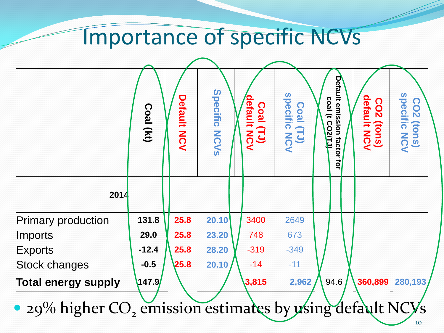